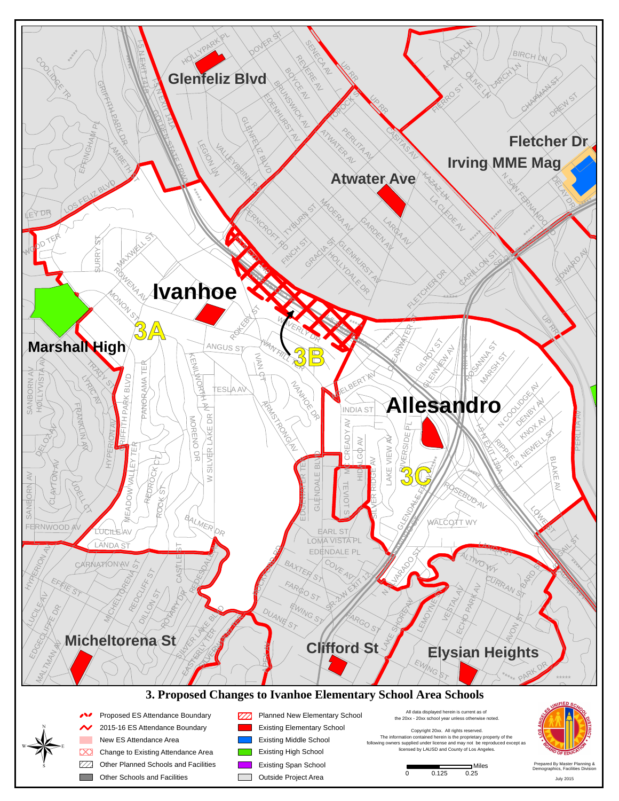